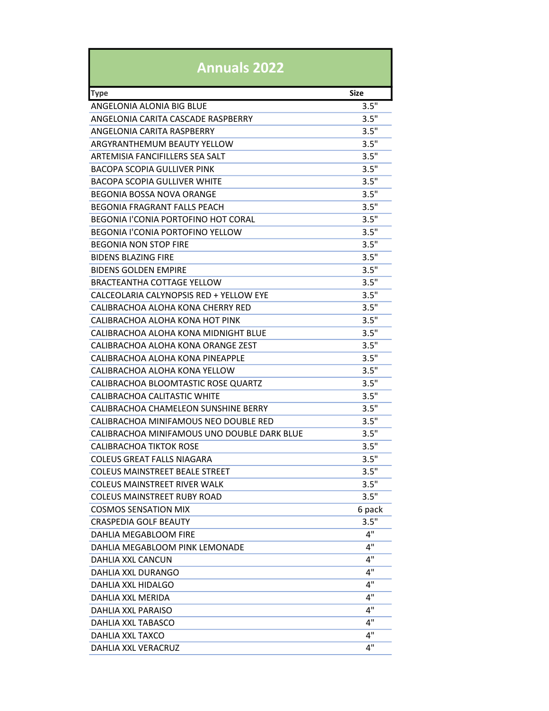| <b>Annuals 2022</b>                         |                      |
|---------------------------------------------|----------------------|
| <b>Type</b>                                 | <b>Size</b>          |
| ANGFI ONIA ALONIA BIG BLUF                  | $3.5^{\overline{1}}$ |
| ANGELONIA CARITA CASCADE RASPBERRY          | 3.5"                 |
| ANGELONIA CARITA RASPBERRY                  | 3.5"                 |
| ARGYRANTHEMUM BEAUTY YFLLOW                 | 3.5"                 |
| ARTEMISIA FANCIFILLERS SEA SALT             | 3.5"                 |
| BACOPA SCOPIA GULLIVER PINK                 | 3.5"                 |
| BACOPA SCOPIA GULLIVER WHITE                | 3.5"                 |
| BEGONIA BOSSA NOVA ORANGE                   | 3.5"                 |
| BEGONIA FRAGRANT FALLS PEACH                | 3.5"                 |
| <b>BEGONIA I'CONIA PORTOFINO HOT CORAL</b>  | 3.5"                 |
| <b>BEGONIA I'CONIA PORTOFINO YELLOW</b>     | 3.5"                 |
| <b>BEGONIA NON STOP FIRE</b>                | 3.5"                 |
| <b>BIDENS BLAZING FIRE</b>                  | 3.5"                 |
| BIDENS GOI DEN EMPIRE                       | 3.5"                 |
| BRACTEANTHA COTTAGE YELLOW                  | 3.5"                 |
| CALCEOLARIA CALYNOPSIS RED + YELLOW EYE     | 3.5"                 |
| CALIBRACHOA ALOHA KONA CHERRY RED           | 3.5"                 |
| CALIBRACHOA ALOHA KONA HOT PINK             | 3.5"                 |
| CALIBRACHOA ALOHA KONA MIDNIGHT BLUE        | 3.5"                 |
| CALIBRACHOA ALOHA KONA ORANGE ZEST          | 3.5"                 |
| CALIBRACHOA ALOHA KONA PINEAPPLE            | 3.5"                 |
| CALIBRACHOA ALOHA KONA YELLOW               | 3.5"                 |
| CALIBRACHOA BLOOMTASTIC ROSE QUARTZ         | 3.5"                 |
| CALIBRACHOA CALITASTIC WHITE                | 3.5"                 |
| CALIBRACHOA CHAMELEON SUNSHINE BERRY        | 3.5"                 |
| CALIBRACHOA MINIFAMOUS NEO DOUBLE RED       | 3.5"                 |
| CALIBRACHOA MINIFAMOUS UNO DOUBLE DARK BLUE | 3.5"                 |
| CALIBRACHOA TIKTOK ROSE                     | 3.5"                 |
| <b>COLEUS GREAT FALLS NIAGARA</b>           | 3.5"                 |
| <b>COLEUS MAINSTREET BEALE STREET</b>       | 3.5"                 |
| <b>COLEUS MAINSTREET RIVER WALK</b>         | 3.5"                 |
| <b>COLEUS MAINSTREET RUBY ROAD</b>          | 3.5"                 |
| <b>COSMOS SENSATION MIX</b>                 | 6 pack               |
| <b>CRASPEDIA GOLF BEAUTY</b>                | 3.5"                 |
| DAHLIA MEGABLOOM FIRE                       | 4"                   |
| DAHLIA MEGABLOOM PINK LEMONADE              | 4"                   |
| <b>DAHLIA XXL CANCUN</b>                    | 4"                   |
| DAHLIA XXL DURANGO                          | 4"                   |
| DAHLIA XXL HIDALGO                          | 4"                   |
| DAHLIA XXL MERIDA                           | 4"                   |
| <b>DAHLIA XXL PARAISO</b>                   | 4"                   |
| <b>DAHLIA XXL TABASCO</b>                   | 4"                   |
| DAHLIA XXL TAXCO                            | 4"                   |
| DAHLIA XXL VERACRUZ                         | 4"                   |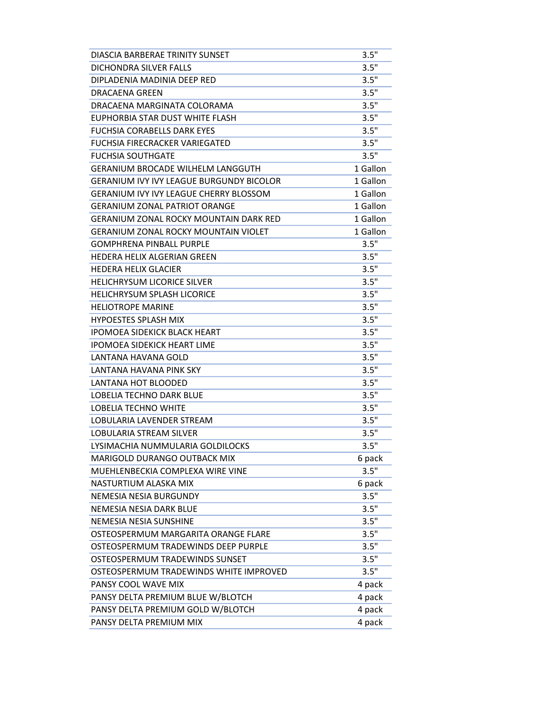| DIASCIA BARBERAE TRINITY SUNSET                 | 3.5"     |
|-------------------------------------------------|----------|
| DICHONDRA SILVER FALLS                          | 3.5"     |
| DIPLADENIA MADINIA DEEP RED                     | 3.5"     |
| DRACAFNA GRFFN                                  | 3.5"     |
| DRACAENA MARGINATA COLORAMA                     | 3.5"     |
| EUPHORBIA STAR DUST WHITE FLASH                 | 3.5"     |
| <b>FUCHSIA CORABELLS DARK EYES</b>              | 3.5"     |
| <b>FUCHSIA FIRECRACKER VARIEGATED</b>           | 3.5"     |
| <b>FUCHSIA SOUTHGATE</b>                        | 3.5"     |
| GERANIUM BROCADE WILHELM LANGGUTH               | 1 Gallon |
| <b>GERANIUM IVY IVY LEAGUE BURGUNDY BICOLOR</b> | 1 Gallon |
| <b>GERANIUM IVY IVY LEAGUE CHERRY BLOSSOM</b>   | 1 Gallon |
| <b>GERANIUM ZONAL PATRIOT ORANGE</b>            | 1 Gallon |
| <b>GERANIUM ZONAL ROCKY MOUNTAIN DARK RED</b>   | 1 Gallon |
| <b>GERANIUM ZONAL ROCKY MOUNTAIN VIOLET</b>     | 1 Gallon |
| GOMPHRENA PINBALL PURPLE                        | 3.5"     |
| HEDERA HELIX ALGERIAN GREEN                     | 3.5"     |
| <b>HEDERA HELIX GLACIER</b>                     | 3.5"     |
| <b>HELICHRYSUM LICORICE SILVER</b>              | 3.5"     |
| <b>HELICHRYSUM SPLASH LICORICE</b>              | 3.5"     |
| <b>HELIOTROPE MARINE</b>                        | 3.5"     |
| <b>HYPOESTES SPLASH MIX</b>                     | 3.5"     |
| <b>IPOMOEA SIDEKICK BLACK HEART</b>             | 3.5"     |
| <b>IPOMOEA SIDEKICK HEART LIME</b>              | 3.5"     |
| LANTANA HAVANA GOLD                             | 3.5"     |
| LANTANA HAVANA PINK SKY                         | 3.5"     |
| <b>LANTANA HOT BLOODED</b>                      | 3.5"     |
| LOBELIA TECHNO DARK BLUE                        | 3.5"     |
| <b>LOBELIA TECHNO WHITE</b>                     | 3.5"     |
| LOBULARIA LAVENDER STREAM                       | 3.5"     |
| <b>LOBULARIA STREAM SILVER</b>                  | 3.5"     |
| LYSIMACHIA NUMMULARIA GOLDILOCKS                | 3.5"     |
| MARIGOLD DURANGO OUTBACK MIX                    | 6 pack   |
| MUEHLENBECKIA COMPLEXA WIRE VINE                | 3.5"     |
| NASTURTIUM ALASKA MIX                           | 6 pack   |
| NEMESIA NESIA BURGUNDY                          | 3.5"     |
| NEMESIA NESIA DARK BLUE                         | 3.5"     |
| NEMESIA NESIA SUNSHINE                          | 3.5"     |
| OSTEOSPERMUM MARGARITA ORANGE FLARE             | 3.5"     |
| OSTEOSPERMUM TRADEWINDS DEEP PURPLE             | 3.5"     |
| OSTEOSPERMUM TRADEWINDS SUNSET                  | 3.5"     |
| OSTEOSPERMUM TRADEWINDS WHITE IMPROVED          | 3.5"     |
| PANSY COOL WAVE MIX                             | 4 pack   |
| PANSY DELTA PREMIUM BLUE W/BLOTCH               | 4 pack   |
| PANSY DELTA PREMIUM GOLD W/BLOTCH               | 4 pack   |
| PANSY DELTA PREMIUM MIX                         | 4 pack   |
|                                                 |          |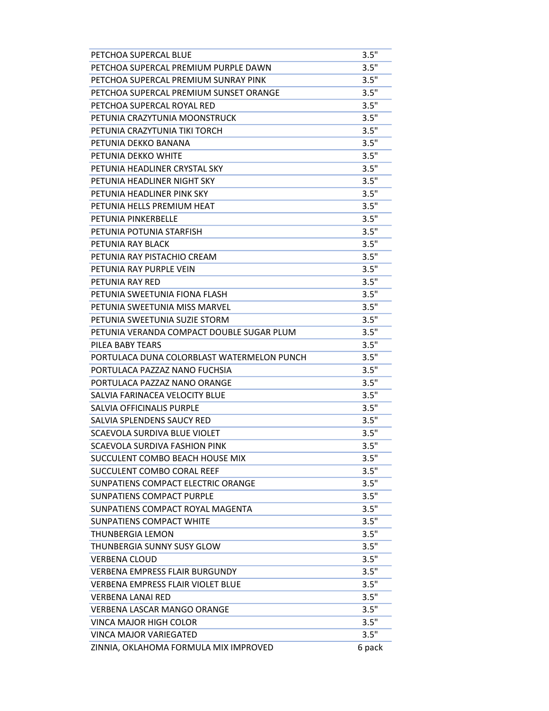| PETCHOA SUPERCAL BLUE                      | 3.5"   |
|--------------------------------------------|--------|
| PETCHOA SUPERCAL PREMIUM PURPLE DAWN       | 3.5"   |
| PETCHOA SUPERCAL PREMIUM SUNRAY PINK       | 3.5"   |
| PETCHOA SUPERCAL PREMIUM SUNSET ORANGE     | 3.5"   |
| PETCHOA SUPERCAL ROYAL RED                 | 3.5"   |
| PETUNIA CRAZYTUNIA MOONSTRUCK              | 3.5"   |
| PETUNIA CRAZYTUNIA TIKI TORCH              | 3.5"   |
| PETUNIA DEKKO BANANA                       | 3.5"   |
| PETUNIA DEKKO WHITE                        | 3.5"   |
| PETUNIA HEADLINER CRYSTAL SKY              | 3.5"   |
| PETUNIA HEADLINER NIGHT SKY                | 3.5"   |
| PETUNIA HEADLINER PINK SKY                 | 3.5"   |
| PETUNIA HELLS PREMIUM HEAT                 | 3.5"   |
| PETUNIA PINKERBELLE                        | 3.5"   |
| PETUNIA POTUNIA STARFISH                   | 3.5"   |
| PETUNIA RAY BLACK                          | 3.5"   |
| PETUNIA RAY PISTACHIO CREAM                | 3.5"   |
| PETUNIA RAY PURPLE VEIN                    | 3.5"   |
| PETUNIA RAY RED                            | 3.5"   |
| PETUNIA SWEETUNIA FIONA FLASH              | 3.5"   |
| PETUNIA SWEETUNIA MISS MARVEL              | 3.5"   |
| PETUNIA SWEETUNIA SUZIE STORM              | 3.5"   |
| PETUNIA VERANDA COMPACT DOUBLE SUGAR PLUM  | 3.5"   |
| PILEA BABY TEARS                           | 3.5"   |
| PORTULACA DUNA COLORBLAST WATERMELON PUNCH | 3.5"   |
| PORTULACA PAZZAZ NANO FUCHSIA              | 3.5"   |
| PORTULACA PAZZAZ NANO ORANGE               | 3.5"   |
| SALVIA FARINACEA VELOCITY BLUE             | 3.5"   |
| SALVIA OFFICINALIS PURPLE                  | 3.5"   |
| SAI VIA SPI FNDENS SAUCY RED               | 3.5"   |
| SCAEVOLA SURDIVA BLUE VIOLET               | 3.5"   |
| SCAEVOLA SURDIVA FASHION PINK              | 3.5"   |
| SUCCULENT COMBO BEACH HOUSE MIX            | 3.5"   |
| SUCCULENT COMBO CORAL REEF                 | 3.5"   |
| SUNPATIENS COMPACT ELECTRIC ORANGE         | 3.5"   |
| <b>SUNPATIENS COMPACT PURPLE</b>           | 3.5"   |
| SUNPATIENS COMPACT ROYAL MAGENTA           | 3.5"   |
| <b>SUNPATIENS COMPACT WHITE</b>            | 3.5"   |
| <b>THUNBERGIA LEMON</b>                    | 3.5"   |
| THUNBERGIA SUNNY SUSY GLOW                 | 3.5"   |
| <b>VERBENA CLOUD</b>                       | 3.5"   |
| VERBENA EMPRESS FLAIR BURGUNDY             | 3.5"   |
| <b>VERBENA EMPRESS FLAIR VIOLET BLUE</b>   | 3.5"   |
| <b>VERBENA LANAI RED</b>                   | 3.5"   |
| <b>VERBENA LASCAR MANGO ORANGE</b>         | 3.5"   |
| <b>VINCA MAJOR HIGH COLOR</b>              | 3.5"   |
| <b>VINCA MAJOR VARIEGATED</b>              | 3.5"   |
| ZINNIA, OKLAHOMA FORMULA MIX IMPROVED      | 6 pack |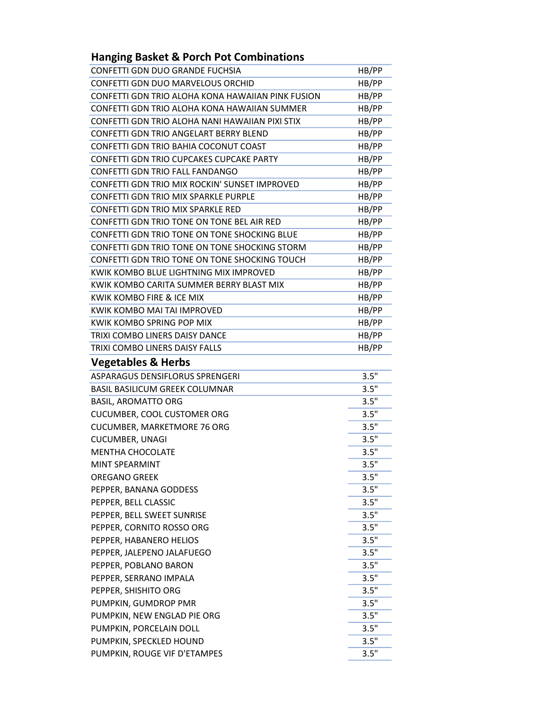## Hanging Basket & Porch Pot Combinations

| CONFETTI GDN DUO GRANDE FUCHSIA                   | HB/PP |
|---------------------------------------------------|-------|
| CONFETTI GDN DUO MARVELOUS ORCHID                 | HB/PP |
| CONFETTI GDN TRIO ALOHA KONA HAWAIIAN PINK FUSION | HB/PP |
| CONFETTI GDN TRIO ALOHA KONA HAWAIIAN SUMMER      | HB/PP |
| CONFETTI GDN TRIO ALOHA NANI HAWAIIAN PIXI STIX   | HB/PP |
| CONFETTI GDN TRIO ANGELART BERRY BLEND            | HB/PP |
| CONFETTI GDN TRIO BAHIA COCONUT COAST             | HB/PP |
| CONFETTI GDN TRIO CUPCAKES CUPCAKE PARTY          | HB/PP |
| CONFETTI GDN TRIO FALL FANDANGO                   | HB/PP |
| CONFETTI GDN TRIO MIX ROCKIN' SUNSET IMPROVED     | HB/PP |
| CONFETTI GDN TRIO MIX SPARKLE PURPLE              | HB/PP |
| CONFETTI GDN TRIO MIX SPARKLE RED                 | HB/PP |
| CONFETTI GDN TRIO TONE ON TONE BEL AIR RED        | HB/PP |
| CONFETTI GDN TRIO TONE ON TONE SHOCKING BLUE      | HB/PP |
| CONFETTI GDN TRIO TONE ON TONE SHOCKING STORM     | HB/PP |
| CONFETTI GDN TRIO TONE ON TONE SHOCKING TOUCH     | HB/PP |
| KWIK KOMBO BLUE LIGHTNING MIX IMPROVED            | HB/PP |
| KWIK KOMBO CARITA SUMMER BERRY BLAST MIX          | HB/PP |
| KWIK KOMBO FIRE & ICE MIX                         | HB/PP |
| KWIK KOMBO MAI TAI IMPROVED                       | HB/PP |
| KWIK KOMBO SPRING POP MIX                         | HB/PP |
| TRIXI COMBO LINERS DAISY DANCE                    | HB/PP |
| TRIXI COMBO LINERS DAISY FALLS                    | HB/PP |
| <b>Vegetables &amp; Herbs</b>                     |       |
| ASPARAGUS DENSIFLORUS SPRENGERI                   | 3.5"  |
| <b>BASIL BASILICUM GREEK COLUMNAR</b>             | 3.5"  |
| <b>BASIL, AROMATTO ORG</b>                        | 3.5"  |
| CUCUMBER, COOL CUSTOMER ORG                       | 3.5"  |
| <b>CUCUMBER, MARKETMORE 76 ORG</b>                | 3.5"  |
| <b>CUCUMBER, UNAGI</b>                            | 3.5"  |
| <b>MENTHA CHOCOLATE</b>                           | 3.5"  |
| MINT SPEARMINT                                    | 3.5"  |
| OREGANO GREEK                                     | 3.5"  |
| PEPPER, BANANA GODDESS                            | 3.5"  |
| PEPPER, BELL CLASSIC                              | 3.5"  |
| PEPPER, BELL SWEET SUNRISE                        | 3.5"  |
| PEPPER, CORNITO ROSSO ORG                         | 3.5"  |
| PEPPER, HABANERO HELIOS                           | 3.5"  |
| PEPPER, JALEPENO JALAFUEGO                        | 3.5"  |
| PEPPER, POBLANO BARON                             | 3.5"  |
| PEPPER, SERRANO IMPALA                            | 3.5"  |
| PEPPER, SHISHITO ORG                              | 3.5"  |
| PUMPKIN, GUMDROP PMR                              | 3.5"  |
| PUMPKIN, NEW ENGLAD PIE ORG                       | 3.5"  |
| PUMPKIN, PORCELAIN DOLL                           | 3.5"  |
| PUMPKIN, SPECKLED HOUND                           | 3.5"  |
| PUMPKIN, ROUGE VIF D'ETAMPES                      | 3.5"  |